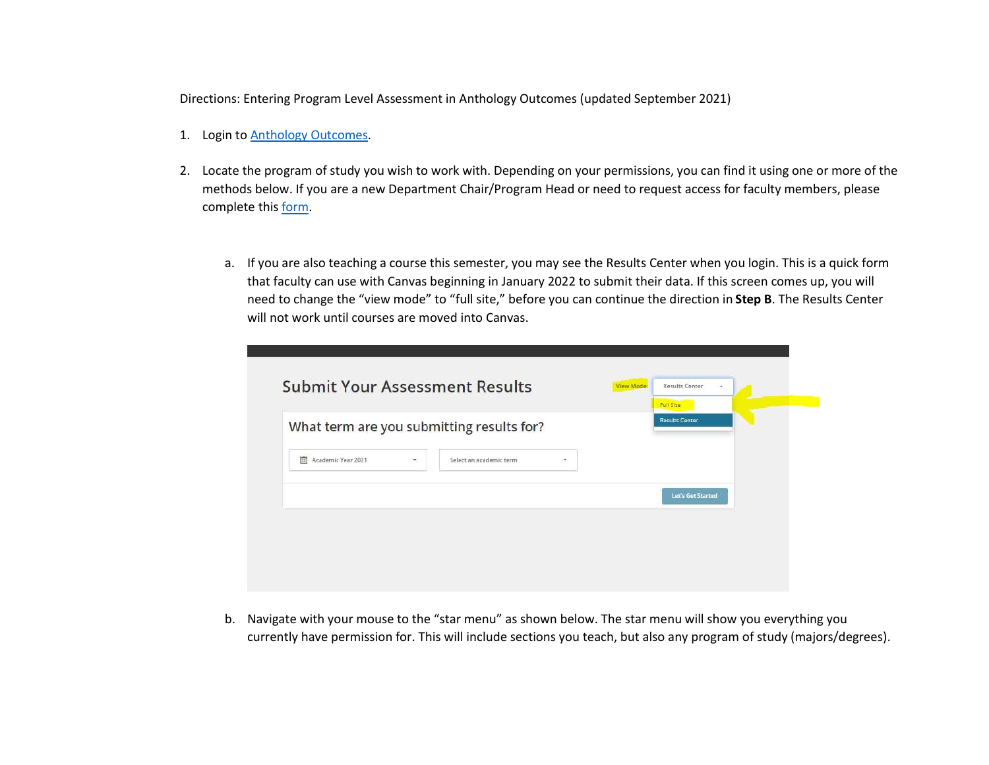Directions: Entering Program Level Assessment in Anthology Outcomes (updated September 2021)

- 1. Login to **Anthology Outcomes**.
- 2. Locate the program of study you wish to work with. Depending on your permissions, you can find it using one or more of the methods below. If you are a new Department Chair/Program Head or need to request access for faculty members, please complete this form.
	- a. If you are also teaching a course this semester, you may see the Results Center when you login. This is a quick form that faculty can use with Canvas beginning in January 2022 to submit their data. If this screen comes up, you will need to change the "view mode" to "full site," before you can continue the direction in Step B. The Results Center will not work until courses are moved into Canvas.

|                    |   | What term are you submitting results for? |           |                   |  |
|--------------------|---|-------------------------------------------|-----------|-------------------|--|
| Academic Year 2021 | ۰ | Select an academic term                   | $\bullet$ |                   |  |
|                    |   |                                           |           | Let's Get Started |  |

b. Navigate with your mouse to the "star menu" as shown below. The star menu will show you everything you currently have permission for. This will include sections you teach, but also any program of study (majors/degrees).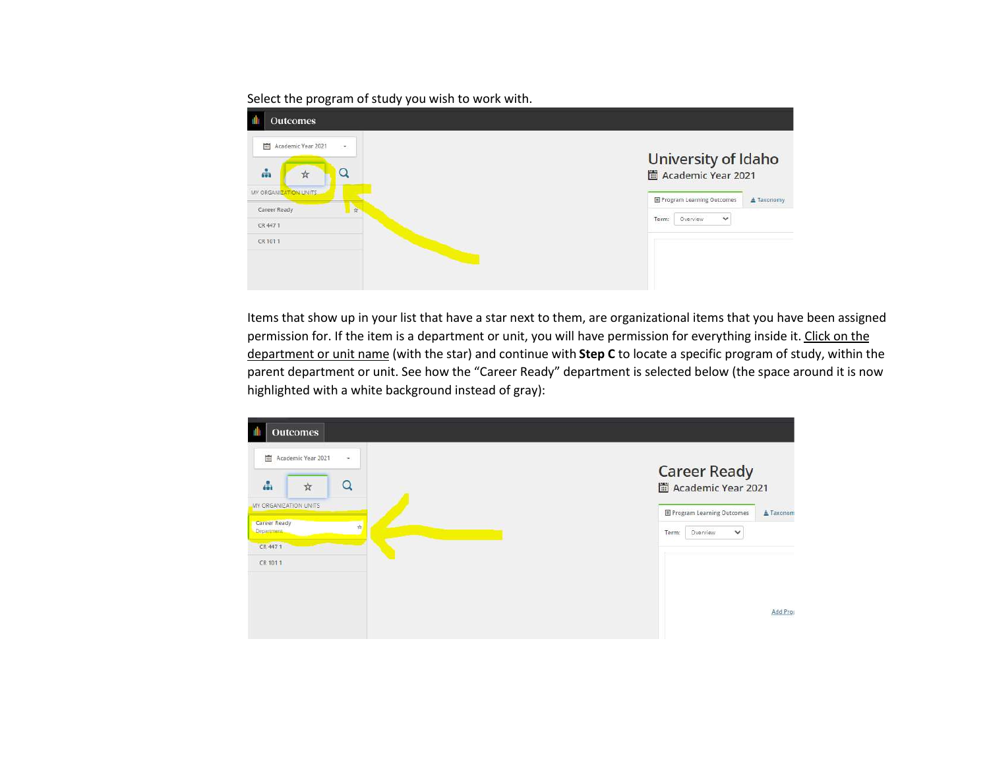## Select the program of study you wish to work with.

| <b>Outcomes</b>                             |                                                |
|---------------------------------------------|------------------------------------------------|
| Academic Year 2021<br>圖<br>$\sim$           | University of Idaho                            |
| d.<br>అ<br>$\mathbb{X}$                     | Academic Year 2021                             |
| MY ORGANIZATION UNITS                       | <b>E</b> Program Learning Outcomes<br>Taxonomy |
| <b>September</b><br>Career Ready<br>CR 4471 | Term:<br>$\checkmark$<br>Overview              |
| CR 1011                                     |                                                |
|                                             |                                                |
|                                             |                                                |

Items that show up in your list that have a star next to them, are organizational items that you have been assigned permission for. If the item is a department or unit, you will have permission for everything inside it. Click on the department or unit name (with the star) and continue with Step C to locate a specific program of study, within the parent department or unit. See how the "Career Ready" department is selected below (the space around it is now highlighted with a white background instead of gray):

| <b>Outcomes</b>                                    |                                               |
|----------------------------------------------------|-----------------------------------------------|
| 画<br>Academic Year 2021<br>$\sim$<br>晶<br>Q<br>☆   | <b>Career Ready</b><br>Academic Year 2021     |
| MY ORGANIZATION UNITS                              | <b>E Program Learning Outcomes</b><br>Taxonom |
| Career Ready<br>$\frac{1}{\sqrt{2}}$<br>Department | Overview<br>Term:<br>$\checkmark$             |
| CR 4471                                            |                                               |
| CR 101.1                                           |                                               |
|                                                    |                                               |
|                                                    | Add Pros                                      |
|                                                    |                                               |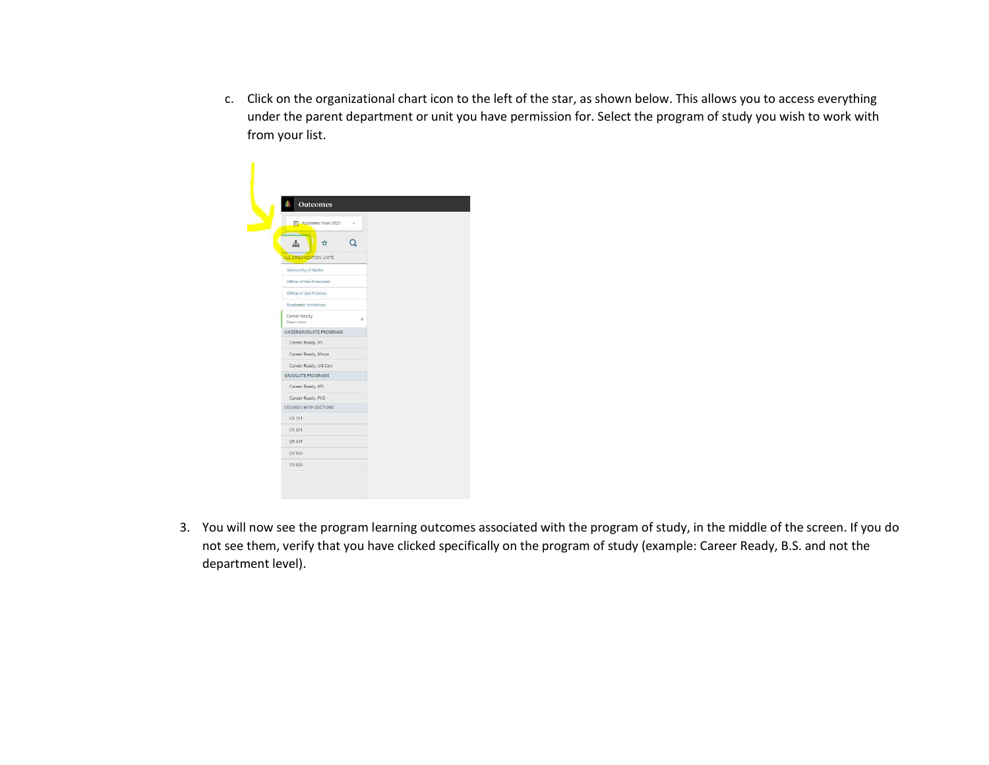c. Click on the organizational chart icon to the left of the star, as shown below. This allows you to access everything under the parent department or unit you have permission for. Select the program of study you wish to work with from your list.



3. You will now see the program learning outcomes associated with the program of study, in the middle of the screen. If you do not see them, verify that you have clicked specifically on the program of study (example: Career Ready, B.S. and not the department level).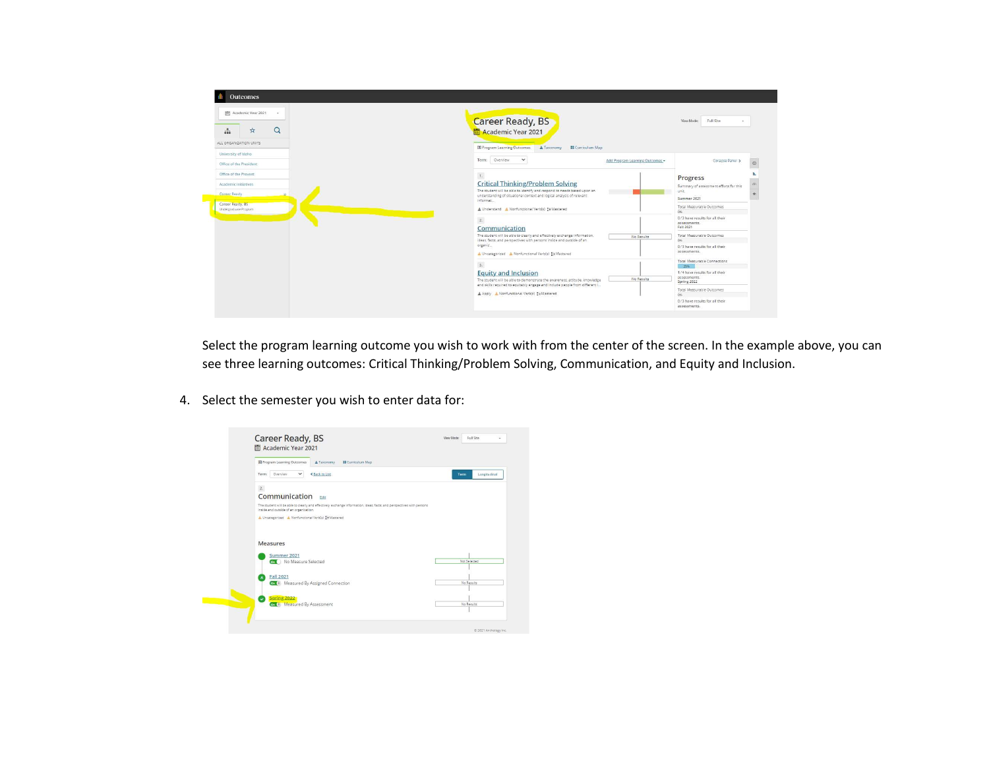

Select the program learning outcome you wish to work with from the center of the screen. In the example above, you can see three learning outcomes: Critical Thinking/Problem Solving, Communication, and Equity and Inclusion.

4. Select the semester you wish to enter data for:

| Program Learning Outcomes<br><b>II</b> Curriculum Map<br>Taxonomy                                                                                               |                      |
|-----------------------------------------------------------------------------------------------------------------------------------------------------------------|----------------------|
| Overview.<br>$\checkmark$<br><b>&lt; Back to List</b><br>Term:                                                                                                  | Longitudinal<br>Term |
| 2.                                                                                                                                                              |                      |
| Communication<br>Edit                                                                                                                                           |                      |
| The student will be able to clearly and effectively exchange information, ideas, facts, and perspectives with persons<br>inside and outside of an organization. |                      |
| A Uncategorized A Nonfunctional Verb(s) ER Mastered                                                                                                             |                      |
|                                                                                                                                                                 |                      |
|                                                                                                                                                                 |                      |
| Measures                                                                                                                                                        |                      |
|                                                                                                                                                                 |                      |
| Summer 2021<br>Con No Measure Selected                                                                                                                          | Not Selected         |
| Fall 2021                                                                                                                                                       |                      |
| Co. (4) Measured By Assigned Connection                                                                                                                         | No Results           |
| Spring 2022                                                                                                                                                     |                      |
|                                                                                                                                                                 |                      |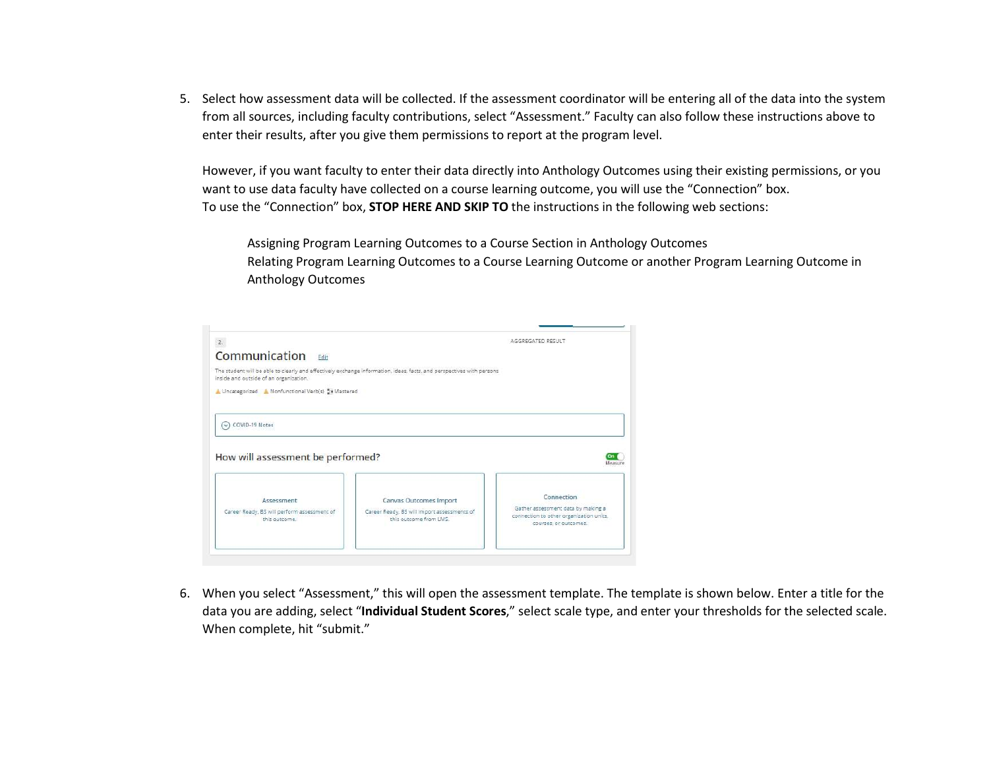5. Select how assessment data will be collected. If the assessment coordinator will be entering all of the data into the system from all sources, including faculty contributions, select "Assessment." Faculty can also follow these instructions above to enter their results, after you give them permissions to report at the program level.

However, if you want faculty to enter their data directly into Anthology Outcomes using their existing permissions, or you want to use data faculty have collected on a course learning outcome, you will use the "Connection" box. To use the "Connection" box, STOP HERE AND SKIP TO the instructions in the following web sections:

Assigning Program Learning Outcomes to a Course Section in Anthology Outcomes Relating Program Learning Outcomes to a Course Learning Outcome or another Program Learning Outcome in Anthology Outcomes

| $\mathbb{Z}.$                                                                                     |                                                                                                                       | AGGREGATED RESULT                                                             |
|---------------------------------------------------------------------------------------------------|-----------------------------------------------------------------------------------------------------------------------|-------------------------------------------------------------------------------|
| Communication Edit                                                                                |                                                                                                                       |                                                                               |
| inside and outside of an organization.                                                            | The student will be able to clearly and effectively exchange information, ideas, facts, and perspectives with persons |                                                                               |
| Uncategorized A Nonfunctional Verb(s) a Mastered                                                  |                                                                                                                       |                                                                               |
|                                                                                                   |                                                                                                                       |                                                                               |
|                                                                                                   |                                                                                                                       |                                                                               |
| COVID-19 Notes<br>$\vee$                                                                          |                                                                                                                       |                                                                               |
|                                                                                                   |                                                                                                                       |                                                                               |
|                                                                                                   |                                                                                                                       | Measuri                                                                       |
|                                                                                                   |                                                                                                                       |                                                                               |
| Assessment                                                                                        |                                                                                                                       | Connection                                                                    |
| How will assessment be performed?<br>Career Ready, BS will perform assessment of<br>this outcome. | Canvas Outcomes Import<br>Career Ready, BS will import assessments of<br>this outcome from LMS.                       | Gather assessment data by making a<br>connection to other organization units, |

6. When you select "Assessment," this will open the assessment template. The template is shown below. Enter a title for the data you are adding, select "Individual Student Scores," select scale type, and enter your thresholds for the selected scale. When complete, hit "submit."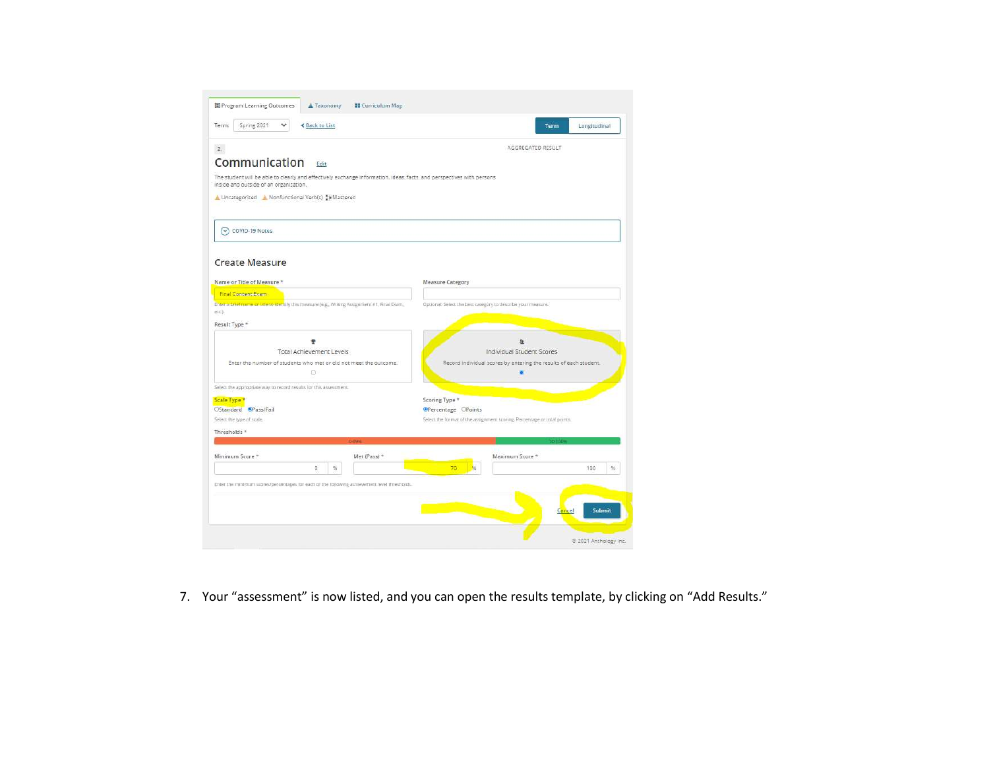| Spring 2021<br><b>≮ Back to List</b><br>Term:                                                                         | Longitudinal<br>Term                                                                                   |
|-----------------------------------------------------------------------------------------------------------------------|--------------------------------------------------------------------------------------------------------|
| 2.                                                                                                                    | AGGREGATED RESULT                                                                                      |
| Communication<br>Edit                                                                                                 |                                                                                                        |
| The student will be able to clearly and effectively exchange information, ideas, facts, and perspectives with persons |                                                                                                        |
| inside and outside of an organization.                                                                                |                                                                                                        |
| A Uncategorized A Nonfunctional Verb(s) DW Mastered                                                                   |                                                                                                        |
|                                                                                                                       |                                                                                                        |
| (v) COVID-19 Notes                                                                                                    |                                                                                                        |
|                                                                                                                       |                                                                                                        |
| <b>Create Measure</b>                                                                                                 |                                                                                                        |
|                                                                                                                       |                                                                                                        |
| Name or Title of Measure *                                                                                            | Measure Category                                                                                       |
| <b>Final Content Exam</b>                                                                                             |                                                                                                        |
| Enter a brief name or offers identify this measure (e.g., Writing Assignment #1, Final Exam,                          | Optional: Select the best category to describe your measure.                                           |
| etc.).                                                                                                                |                                                                                                        |
| Result Type *                                                                                                         |                                                                                                        |
|                                                                                                                       | 血                                                                                                      |
| <b>Total Achievement Levels</b>                                                                                       | Individual Student Scores                                                                              |
| Enter the number of students who met or did not meet the outcome.                                                     | Record individual scores by entering the results of each student.                                      |
| O                                                                                                                     | 面                                                                                                      |
|                                                                                                                       |                                                                                                        |
| Select the appropriate way to record results for this assessment.                                                     |                                                                                                        |
| Scale Type *                                                                                                          | Scoring Type *                                                                                         |
| OStandard @Pass/Fail<br>Select the type of scale.                                                                     | <b>OPercentage</b> CPoints<br>Select the format of the assignment scoring. Percentage or total points. |
|                                                                                                                       |                                                                                                        |
| Thresholds <sup>*</sup>                                                                                               |                                                                                                        |
|                                                                                                                       |                                                                                                        |
| Minimum Score *<br>Met (Pass) *                                                                                       | Maximum Score *                                                                                        |
| $96$<br>ö                                                                                                             | 輪<br>70<br>100<br>签.                                                                                   |
| Enter the minimum scores/percentages for each of the following achievement level thresholds.                          |                                                                                                        |
|                                                                                                                       |                                                                                                        |
|                                                                                                                       |                                                                                                        |
|                                                                                                                       | <b>Submit</b><br>Cancel                                                                                |
|                                                                                                                       |                                                                                                        |

7. Your "assessment" is now listed, and you can open the results template, by clicking on "Add Results."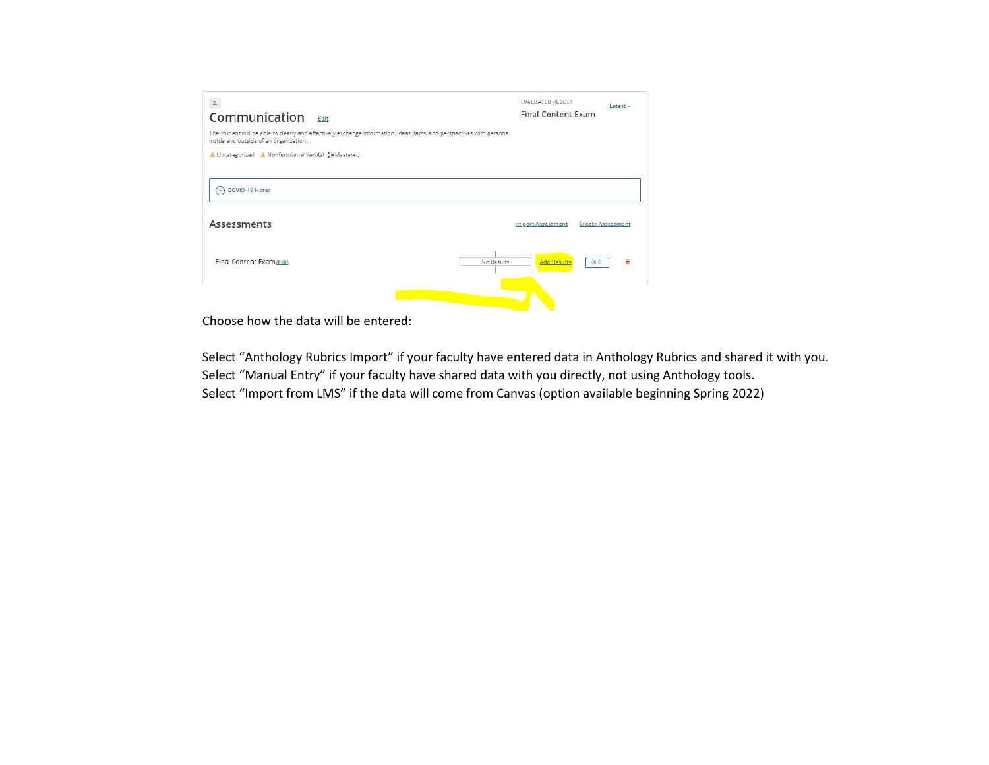

Choose how the data will be entered:

Select "Anthology Rubrics Import" if your faculty have entered data in Anthology Rubrics and shared it with you. Select "Manual Entry" if your faculty have shared data with you directly, not using Anthology tools. Select "Import from LMS" if the data will come from Canvas (option available beginning Spring 2022)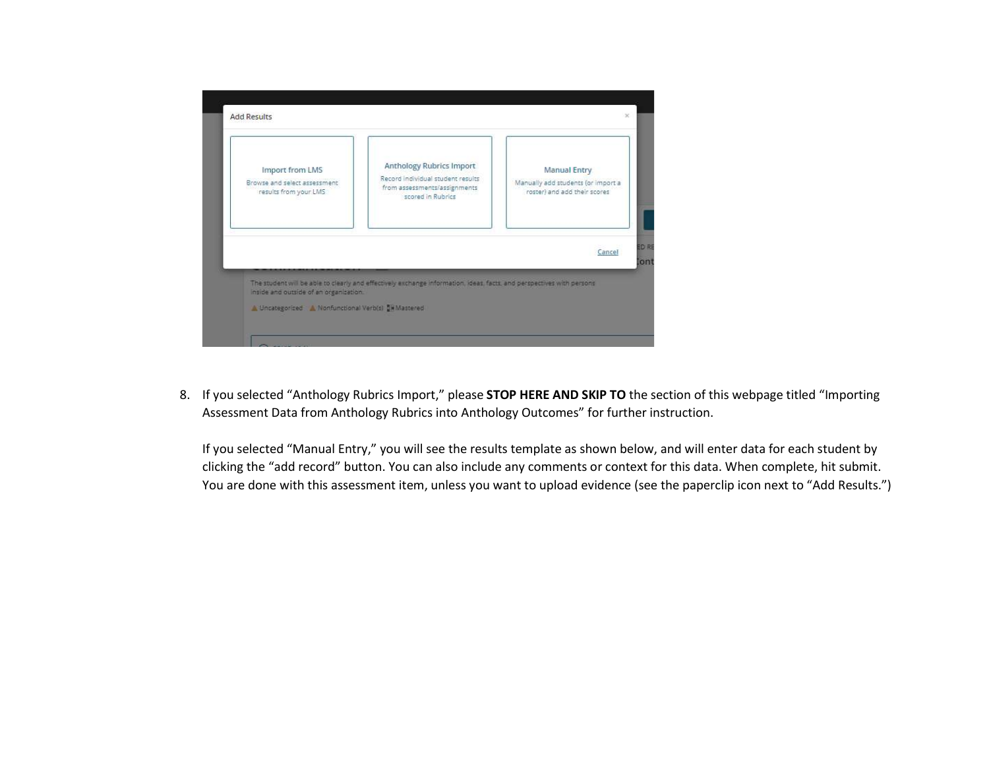

8. If you selected "Anthology Rubrics Import," please STOP HERE AND SKIP TO the section of this webpage titled "Importing Assessment Data from Anthology Rubrics into Anthology Outcomes" for further instruction.

If you selected "Manual Entry," you will see the results template as shown below, and will enter data for each student by clicking the "add record" button. You can also include any comments or context for this data. When complete, hit submit. You are done with this assessment item, unless you want to upload evidence (see the paperclip icon next to "Add Results.")